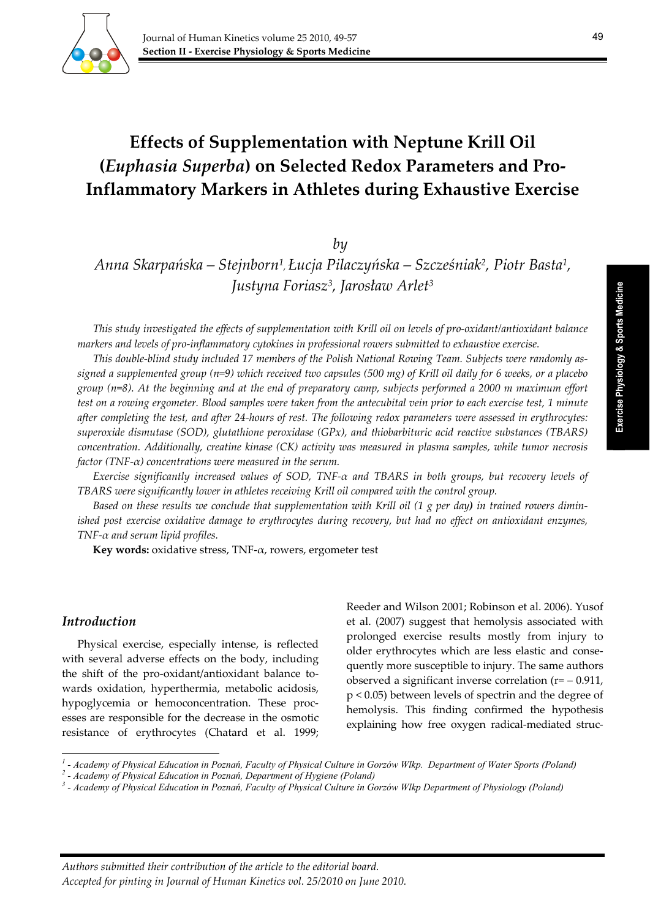

49

# **Effects of Supplementation with Neptune Krill Oil (***Euphasia Superba***) on Selected Redox Parameters and Pro‐ Inflammatory Markers in Athletes during Exhaustive Exercise**

*by* 

*Anna Skarpańska – Stejnborn1, Łucja Pilaczyńska – Szcześniak2, Piotr Basta1, Justyna Foriasz3, Jarosław Arlet3*

This study investigated the effects of supplementation with Krill oil on levels of pro-oxidant/antioxidant balance *markers and levels of pro‐inflammatory cytokines in professional rowers submitted to exhaustive exercise.*

This double-blind study included 17 members of the Polish National Rowing Team. Subjects were randomly assigned a supplemented group  $(n=9)$  which received two capsules (500 mg) of Krill oil daily for 6 weeks, or a placebo group ( $n=8$ ). At the beginning and at the end of preparatory camp, subjects performed a 2000 m maximum effort test on a rowing ergometer. Blood samples were taken from the antecubital vein prior to each exercise test, 1 minute after completing the test, and after 24-hours of rest. The following redox parameters were assessed in erythrocytes: *superoxide dismutase (SOD), glutathione peroxidase (GPx), and thiobarbituric acid reactive substances (TBARS) concentration. Additionally, creatine kinase (CK) activity was measured in plasma samples, while tumor necrosis factor (TNF‐α) concentrations were measured in the serum.*

*Exercise significantly increased values of SOD, TNF‐α and TBARS in both groups, but recovery levels of TBARS were significantly lower in athletes receiving Krill oil compared with the control group.*

Based on these results we conclude that supplementation with Krill oil (1 g per day) in trained rowers dimin*ished post exercise oxidative damage to erythrocytes during recovery, but had no effect on antioxidant enzymes, TNF‐α and serum lipid profiles.*

**Key words:** oxidative stress, TNF‐α, rowers, ergometer test

#### *Introduction*

Physical exercise, especially intense, is reflected with several adverse effects on the body, including the shift of the pro-oxidant/antioxidant balance towards oxidation, hyperthermia, metabolic acidosis, hypoglycemia or hemoconcentration. These proc‐ esses are responsible for the decrease in the osmotic resistance of erythrocytes (Chatard et al. 1999;

<u> 1989 - Johann Barbara, martxa alemaniar a</u>

Reeder and Wilson 2001; Robinson et al. 2006). Yusof et al. (2007) suggest that hemolysis associated with prolonged exercise results mostly from injury to older erythrocytes which are less elastic and conse‐ quently more susceptible to injury. The same authors observed a significant inverse correlation  $(r = -0.911)$ , p < 0.05) between levels of spectrin and the degree of hemolysis. This finding confirmed the hypothesis explaining how free oxygen radical-mediated struc-

*<sup>1</sup> - Academy of Physical Education in Poznań, Faculty of Physical Culture in Gorzów Wlkp. Department of Water Sports (Poland) 2*

 *<sup>-</sup> Academy of Physical Education in Poznań, Department of Hygiene (Poland) 3*

 *<sup>-</sup> Academy of Physical Education in Poznań, Faculty of Physical Culture in Gorzów Wlkp Department of Physiology (Poland)*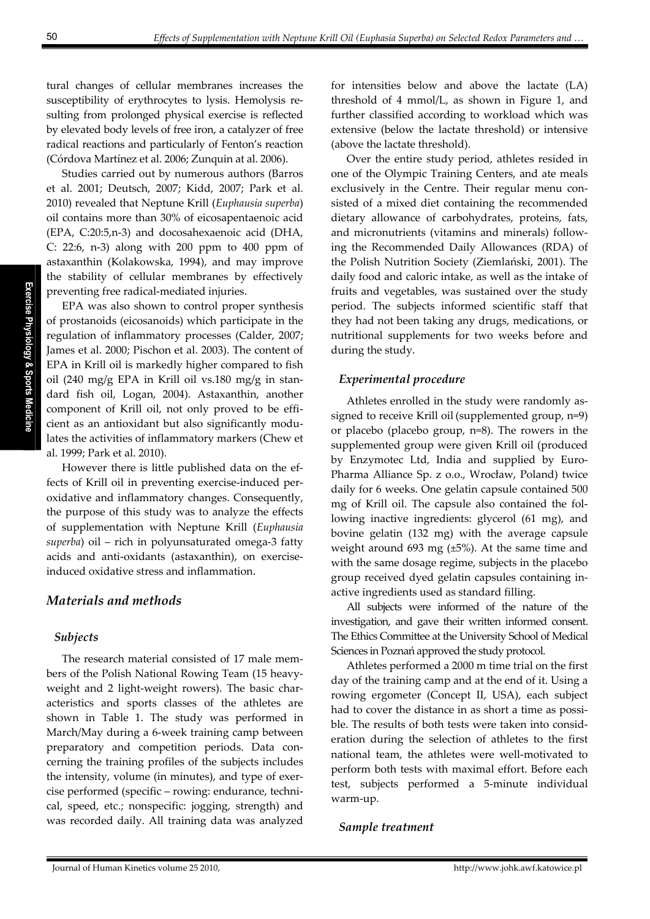tural changes of cellular membranes increases the susceptibility of erythrocytes to lysis. Hemolysis re‐ sulting from prolonged physical exercise is reflected by elevated body levels of free iron, a catalyzer of free radical reactions and particularly of Fenton's reaction (Córdova Martínez et al. 2006; Zunquin at al. 2006).

Studies carried out by numerous authors (Barros et al. 2001; Deutsch, 2007; Kidd, 2007; Park et al. 2010) revealed that Neptune Krill (*Euphausia superba*) oil contains more than 30% of eicosapentaenoic acid (EPA, C:20:5,n‐3) and docosahexaenoic acid (DHA, C: 22:6, n‐3) along with 200 ppm to 400 ppm of astaxanthin (Kolakowska, 1994), and may improve the stability of cellular membranes by effectively preventing free radical‐mediated injuries.

EPA was also shown to control proper synthesis of prostanoids (eicosanoids) which participate in the regulation of inflammatory processes (Calder, 2007; James et al. 2000; Pischon et al. 2003). The content of EPA in Krill oil is markedly higher compared to fish oil (240 mg/g EPA in Krill oil vs.180 mg/g in standard fish oil, Logan, 2004). Astaxanthin, another component of Krill oil, not only proved to be efficient as an antioxidant but also significantly modu‐ lates the activities of inflammatory markers (Chew et al. 1999; Park et al. 2010).

However there is little published data on the ef‐ fects of Krill oil in preventing exercise‐induced per‐ oxidative and inflammatory changes. Consequently, the purpose of this study was to analyze the effects of supplementation with Neptune Krill (*Euphausia superba*) oil – rich in polyunsaturated omega‐3 fatty acids and anti‐oxidants (astaxanthin), on exercise‐ induced oxidative stress and inflammation.

# *Materials and methods*

# *Subjects*

The research material consisted of 17 male members of the Polish National Rowing Team (15 heavy‐ weight and 2 light-weight rowers). The basic characteristics and sports classes of the athletes are shown in Table 1. The study was performed in March/May during a 6‐week training camp between preparatory and competition periods. Data concerning the training profiles of the subjects includes the intensity, volume (in minutes), and type of exercise performed (specific – rowing: endurance, techni‐ cal, speed, etc.; nonspecific: jogging, strength) and was recorded daily. All training data was analyzed

for intensities below and above the lactate (LA) threshold of 4 mmol/L, as shown in Figure 1, and further classified according to workload which was extensive (below the lactate threshold) or intensive (above the lactate threshold).

Over the entire study period, athletes resided in one of the Olympic Training Centers, and ate meals exclusively in the Centre. Their regular menu consisted of a mixed diet containing the recommended dietary allowance of carbohydrates, proteins, fats, and micronutrients (vitamins and minerals) follow‐ ing the Recommended Daily Allowances (RDA) of the Polish Nutrition Society (Ziemlański, 2001). The daily food and caloric intake, as well as the intake of fruits and vegetables, was sustained over the study period. The subjects informed scientific staff that they had not been taking any drugs, medications, or nutritional supplements for two weeks before and during the study.

# *Experimental procedure*

Athletes enrolled in the study were randomly as‐ signed to receive Krill oil (supplemented group, n=9) or placebo (placebo group, n=8). The rowers in the supplemented group were given Krill oil (produced by Enzymotec Ltd, India and supplied by Euro-Pharma Alliance Sp. z o.o., Wrocław, Poland) twice daily for 6 weeks. One gelatin capsule contained 500 mg of Krill oil. The capsule also contained the fol‐ lowing inactive ingredients: glycerol (61 mg), and bovine gelatin (132 mg) with the average capsule weight around 693 mg (±5%). At the same time and with the same dosage regime, subjects in the placebo group received dyed gelatin capsules containing in‐ active ingredients used as standard filling.

All subjects were informed of the nature of the investigation, and gave their written informed consent. The Ethics Committee at the University School of Medical Sciences in Poznań approved the study protocol.

Athletes performed a 2000 m time trial on the first day of the training camp and at the end of it. Using a rowing ergometer (Concept II, USA), each subject had to cover the distance in as short a time as possible. The results of both tests were taken into consid‐ eration during the selection of athletes to the first national team, the athletes were well‐motivated to perform both tests with maximal effort. Before each test, subjects performed a 5‐minute individual warm‐up.

#### *Sample treatment*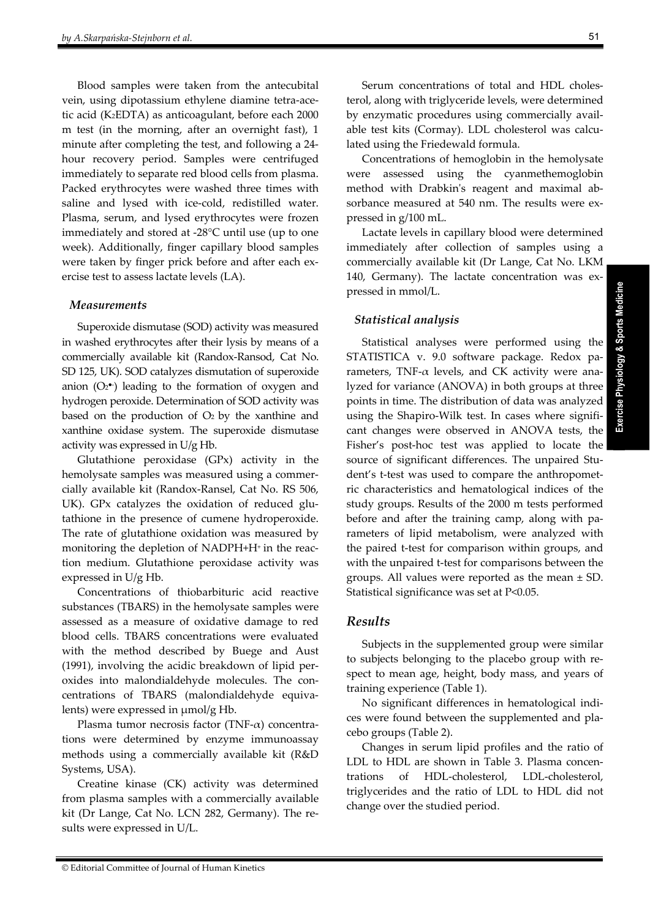Blood samples were taken from the antecubital vein, using dipotassium ethylene diamine tetra‐ace‐ tic acid (K2EDTA) as anticoagulant, before each 2000 m test (in the morning, after an overnight fast), 1 minute after completing the test, and following a 24‐ hour recovery period. Samples were centrifuged immediately to separate red blood cells from plasma. Packed erythrocytes were washed three times with saline and lysed with ice-cold, redistilled water. Plasma, serum, and lysed erythrocytes were frozen immediately and stored at ‐28°C until use (up to one week). Additionally, finger capillary blood samples were taken by finger prick before and after each exercise test to assess lactate levels (LA).

#### *Measurements*

Superoxide dismutase (SOD) activity was measured in washed erythrocytes after their lysis by means of a commercially available kit (Randox‐Ransod, Cat No. SD 125, UK). SOD catalyzes dismutation of superoxide anion  $(O_2^{\bullet})$  leading to the formation of oxygen and hydrogen peroxide. Determination of SOD activity was based on the production of  $O<sub>2</sub>$  by the xanthine and xanthine oxidase system. The superoxide dismutase activity was expressed in U/g Hb.

Glutathione peroxidase (GPx) activity in the hemolysate samples was measured using a commer‐ cially available kit (Randox‐Ransel, Cat No. RS 506, UK). GPx catalyzes the oxidation of reduced glutathione in the presence of cumene hydroperoxide. The rate of glutathione oxidation was measured by monitoring the depletion of NADPH+H<sup>+</sup> in the reaction medium. Glutathione peroxidase activity was expressed in U/g Hb.

Concentrations of thiobarbituric acid reactive substances (TBARS) in the hemolysate samples were assessed as a measure of oxidative damage to red blood cells. TBARS concentrations were evaluated with the method described by Buege and Aust (1991), involving the acidic breakdown of lipid per‐ oxides into malondialdehyde molecules. The concentrations of TBARS (malondialdehyde equivalents) were expressed in μmol/g Hb.

Plasma tumor necrosis factor (TNF- $\alpha$ ) concentrations were determined by enzyme immunoassay methods using a commercially available kit (R&D Systems, USA).

Creatine kinase (CK) activity was determined from plasma samples with a commercially available kit (Dr Lange, Cat No. LCN 282, Germany). The re‐ sults were expressed in U/L.

Concentrations of hemoglobin in the hemolysate were assessed using the cyanmethemoglobin method with Drabkin's reagent and maximal absorbance measured at 540 nm. The results were expressed in g/100 mL.

Lactate levels in capillary blood were determined immediately after collection of samples using a commercially available kit (Dr Lange, Cat No. LKM 140, Germany). The lactate concentration was expressed in mmol/L.

# *Statistical analysis*

Statistical analyses were performed using the STATISTICA v. 9.0 software package. Redox parameters, TNF- $\alpha$  levels, and CK activity were analyzed for variance (ANOVA) in both groups at three points in time. The distribution of data was analyzed using the Shapiro-Wilk test. In cases where significant changes were observed in ANOVA tests, the Fisher's post-hoc test was applied to locate the source of significant differences. The unpaired Student's t-test was used to compare the anthropometric characteristics and hematological indices of the study groups. Results of the 2000 m tests performed before and after the training camp, along with parameters of lipid metabolism, were analyzed with the paired t-test for comparison within groups, and with the unpaired t-test for comparisons between the groups. All values were reported as the mean ± SD. Statistical significance was set at P<0.05.

#### *Results*

Subjects in the supplemented group were similar to subjects belonging to the placebo group with re‐ spect to mean age, height, body mass, and years of training experience (Table 1).

No significant differences in hematological indi‐ ces were found between the supplemented and pla‐ cebo groups (Table 2).

Changes in serum lipid profiles and the ratio of LDL to HDL are shown in Table 3. Plasma concentrations of HDL‐cholesterol, LDL‐cholesterol, triglycerides and the ratio of LDL to HDL did not change over the studied period.

**Exercise Physiology & Sports Medicine** 

Exercise Physiology & Sports Medicine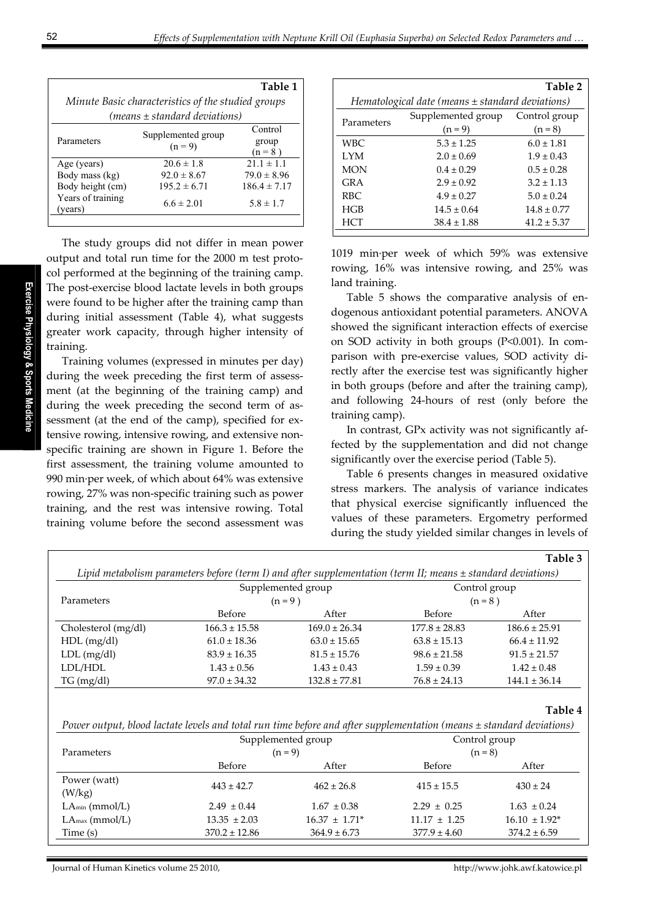|                                                    |                    | Table 1          |  |  |  |  |  |
|----------------------------------------------------|--------------------|------------------|--|--|--|--|--|
| Minute Basic characteristics of the studied groups |                    |                  |  |  |  |  |  |
| $(means \pm standard deviations)$                  |                    |                  |  |  |  |  |  |
| Parameters                                         | Supplemented group | Control          |  |  |  |  |  |
|                                                    | $(n = 9)$          | group            |  |  |  |  |  |
|                                                    |                    | $(n=8)$          |  |  |  |  |  |
| Age (years)                                        | $20.6 \pm 1.8$     | $21.1 \pm 1.1$   |  |  |  |  |  |
| Body mass (kg)                                     | $92.0 \pm 8.67$    | $79.0 \pm 8.96$  |  |  |  |  |  |
| Body height (cm)                                   | $195.2 \pm 6.71$   | $186.4 \pm 7.17$ |  |  |  |  |  |
| Years of training<br>(vears)                       | $6.6 \pm 2.01$     | $5.8 \pm 1.7$    |  |  |  |  |  |
|                                                    |                    |                  |  |  |  |  |  |

The study groups did not differ in mean power output and total run time for the 2000 m test proto‐ col performed at the beginning of the training camp. The post-exercise blood lactate levels in both groups were found to be higher after the training camp than during initial assessment (Table 4), what suggests greater work capacity, through higher intensity of training.

Training volumes (expressed in minutes per day) during the week preceding the first term of assessment (at the beginning of the training camp) and during the week preceding the second term of assessment (at the end of the camp), specified for extensive rowing, intensive rowing, and extensive nonspecific training are shown in Figure 1. Before the first assessment, the training volume amounted to 990 min∙per week, of which about 64% was extensive rowing, 27% was non‐specific training such as power training, and the rest was intensive rowing. Total training volume before the second assessment was

|                                                      |                    | Table 2         |  |  |  |  |  |
|------------------------------------------------------|--------------------|-----------------|--|--|--|--|--|
| Hematological date (means $\pm$ standard deviations) |                    |                 |  |  |  |  |  |
| Parameters                                           | Supplemented group | Control group   |  |  |  |  |  |
|                                                      | $(n = 9)$          | $(n = 8)$       |  |  |  |  |  |
| WBC.                                                 | $5.3 \pm 1.25$     | $6.0 \pm 1.81$  |  |  |  |  |  |
| LYM.                                                 | $2.0 + 0.69$       | $1.9 \pm 0.43$  |  |  |  |  |  |
| <b>MON</b>                                           | $0.4 + 0.29$       | $0.5 + 0.28$    |  |  |  |  |  |
| GR A                                                 | $2.9 \pm 0.92$     | $3.2 + 1.13$    |  |  |  |  |  |
| RBC.                                                 | $4.9 \pm 0.27$     | $5.0 \pm 0.24$  |  |  |  |  |  |
| HGB                                                  | $14.5 + 0.64$      | $14.8 \pm 0.77$ |  |  |  |  |  |
| <b>HCT</b>                                           | $38.4 \pm 1.88$    | $41.2 \pm 5.37$ |  |  |  |  |  |
|                                                      |                    |                 |  |  |  |  |  |

1019 min∙per week of which 59% was extensive rowing, 16% was intensive rowing, and 25% was land training.

Table 5 shows the comparative analysis of endogenous antioxidant potential parameters. ANOVA showed the significant interaction effects of exercise on SOD activity in both groups (P<0.001). In com‐ parison with pre‐exercise values, SOD activity di‐ rectly after the exercise test was significantly higher in both groups (before and after the training camp), and following 24‐hours of rest (only before the training camp).

In contrast, GPx activity was not significantly af‐ fected by the supplementation and did not change significantly over the exercise period (Table 5).

Table 6 presents changes in measured oxidative stress markers. The analysis of variance indicates that physical exercise significantly influenced the values of these parameters. Ergometry performed during the study yielded similar changes in levels of

|                                                                                                                          |                                                                                                                  |                    |                          | t aple 5           |  |  |
|--------------------------------------------------------------------------------------------------------------------------|------------------------------------------------------------------------------------------------------------------|--------------------|--------------------------|--------------------|--|--|
|                                                                                                                          | Lipid metabolism parameters before (term I) and after supplementation (term II; means $\pm$ standard deviations) |                    |                          |                    |  |  |
|                                                                                                                          |                                                                                                                  | Supplemented group | Control group<br>$(n=8)$ |                    |  |  |
| Parameters                                                                                                               |                                                                                                                  | $(n=9)$            |                          |                    |  |  |
|                                                                                                                          | Before                                                                                                           | After              | Before                   | After              |  |  |
| Cholesterol (mg/dl)                                                                                                      | $166.3 \pm 15.58$                                                                                                | $169.0 \pm 26.34$  | $177.8 \pm 28.83$        | $186.6 \pm 25.91$  |  |  |
| $HDL$ (mg/dl)                                                                                                            | $61.0 \pm 18.36$                                                                                                 | $63.0 \pm 15.65$   | $63.8 \pm 15.13$         | $66.4 \pm 11.92$   |  |  |
| LDL (mg/dl)                                                                                                              | $83.9 \pm 16.35$                                                                                                 | $81.5 \pm 15.76$   | $98.6 \pm 21.58$         | $91.5 \pm 21.57$   |  |  |
| LDL/HDL                                                                                                                  | $1.43 \pm 0.56$                                                                                                  | $1.43 \pm 0.43$    | $1.59 \pm 0.39$          | $1.42 \pm 0.48$    |  |  |
| TG (mg/dl)                                                                                                               | $97.0 \pm 34.32$                                                                                                 | $132.8 \pm 77.81$  | $76.8 \pm 24.13$         | $144.1 \pm 36.14$  |  |  |
|                                                                                                                          |                                                                                                                  |                    |                          |                    |  |  |
|                                                                                                                          |                                                                                                                  |                    |                          | Table 4            |  |  |
| Power output, blood lactate levels and total run time before and after supplementation (means $\pm$ standard deviations) |                                                                                                                  |                    |                          |                    |  |  |
|                                                                                                                          |                                                                                                                  | Supplemented group | Control group            |                    |  |  |
| Parameters                                                                                                               |                                                                                                                  | $(n = 9)$          | $(n = 8)$                |                    |  |  |
|                                                                                                                          | Before                                                                                                           | After              | Before                   | After              |  |  |
| Power (watt)                                                                                                             |                                                                                                                  |                    |                          |                    |  |  |
|                                                                                                                          |                                                                                                                  |                    |                          |                    |  |  |
| (W/kg)                                                                                                                   | $443 \pm 42.7$                                                                                                   | $462 \pm 26.8$     | $415 \pm 15.5$           | $430 \pm 24$       |  |  |
| $LA_{min}(mmol/L)$                                                                                                       | $2.49 \pm 0.44$                                                                                                  | $1.67 \pm 0.38$    | $2.29 \pm 0.25$          | $1.63 \pm 0.24$    |  |  |
| $LA_{max}(mmol/L)$                                                                                                       | $13.35 \pm 2.03$                                                                                                 | $16.37 \pm 1.71^*$ | $11.17 \pm 1.25$         | $16.10 \pm 1.92^*$ |  |  |

**Table 3**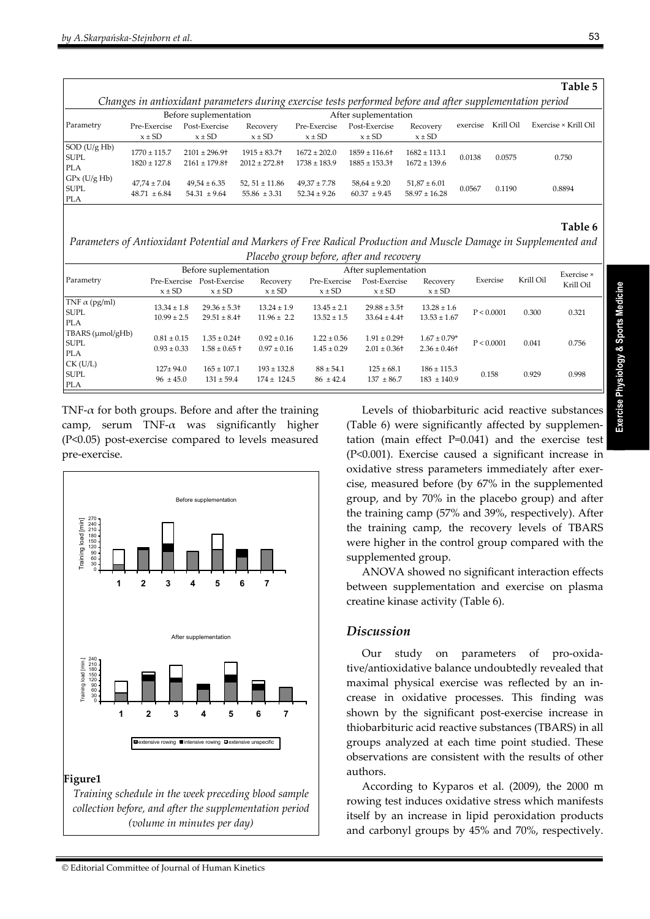$\lceil$ 

|                                                                                                           |                                      |                                                     |                                                |                                      |                                      |                                       |          |           | Table 5              |
|-----------------------------------------------------------------------------------------------------------|--------------------------------------|-----------------------------------------------------|------------------------------------------------|--------------------------------------|--------------------------------------|---------------------------------------|----------|-----------|----------------------|
| Changes in antioxidant parameters during exercise tests performed before and after supplementation period |                                      |                                                     |                                                |                                      |                                      |                                       |          |           |                      |
|                                                                                                           |                                      | Before suplementation                               |                                                |                                      | After suplementation                 |                                       |          |           |                      |
| Parametry                                                                                                 | Pre-Exercise                         | Post-Exercise                                       | Recovery                                       | Pre-Exercise                         | Post-Exercise                        | Recovery                              | exercise | Krill Oil | Exercise × Krill Oil |
|                                                                                                           | $x \pm SD$                           | $x \pm SD$                                          | $x \pm SD$                                     | $x \pm SD$                           | $x \pm SD$                           | $x \pm SD$                            |          |           |                      |
| $\vert$ SOD (U/g Hb)<br><b>SUPL</b><br><b>PLA</b>                                                         | $1770 \pm 115.7$<br>$1820 \pm 127.8$ | $2101 \pm 296.9$ +<br>$2161 \pm 179.8$ <sup>+</sup> | $1915 \pm 83.7$<br>$2012 + 272.8$ <sup>+</sup> | $1672 \pm 202.0$<br>$1738 \pm 183.9$ | $1859 \pm 116.6$<br>$1885 \pm 153.3$ | $1682 \pm 113.1$<br>$1672 \pm 139.6$  | 0.0138   | 0.0575    | 0.750                |
| $GPx$ (U/g Hb)<br><b>SUPL</b><br><b>PLA</b>                                                               | $47,74 \pm 7.04$<br>$48.71 \pm 6.84$ | $49,54 \pm 6.35$<br>$54.31 \pm 9.64$                | 52, $51 \pm 11.86$<br>$55.86 \pm 3.31$         | $49,37 \pm 7.78$<br>$52.34 \pm 9.26$ | $58,64 \pm 9.20$<br>$60.37 \pm 9.45$ | $51,87 \pm 6.01$<br>$58.97 \pm 16.28$ | 0.0567   | 0.1190    | 0.8894               |

# **Table 6**

*Parameters of Antioxidant Potential and Markers of Free Radical Production and Muscle Damage in Supplemented and Placebo group before, after and recovery*

|                                        | Before suplementation              |                                      |                                    | After suplementation               |                                      |                                     |            |           | Exercise × |
|----------------------------------------|------------------------------------|--------------------------------------|------------------------------------|------------------------------------|--------------------------------------|-------------------------------------|------------|-----------|------------|
| Parametry                              | Pre-Exercise<br>$x \pm SD$         | Post-Exercise<br>$x \pm SD$          | Recovery<br>$x \pm SD$             | Pre-Exercise<br>$x \pm SD$         | Post-Exercise<br>$x \pm SD$          | Recovery<br>$x \pm SD$              | Exercise   | Krill Oil | Krill Oil  |
| TNF $\alpha$ (pg/ml)<br>SUPL<br>PLA    | $13.34 \pm 1.8$<br>$10.99 \pm 2.5$ | $29.36 \pm 5.3$<br>$29.51 \pm 8.4$   | $13.24 \pm 1.9$<br>$11.96 \pm 2.2$ | $13.45 \pm 2.1$<br>$13.52 \pm 1.5$ | $29.88 \pm 3.5$ +<br>$33.64 \pm 4.4$ | $13.28 \pm 1.6$<br>$13.53 \pm 1.67$ | P < 0.0001 | 0.300     | 0.321      |
| TBARS (µmol/gHb)<br><b>SUPL</b><br>PLA | $0.81 \pm 0.15$<br>$0.93 \pm 0.33$ | $1.35 \pm 0.24$<br>$1.58 \pm 0.65$ † | $0.92 \pm 0.16$<br>$0.97 \pm 0.16$ | $1.22 \pm 0.56$<br>$1.45 \pm 0.29$ | $1.91 \pm 0.29$ +<br>$2.01 \pm 0.36$ | $1.67 \pm 0.79*$<br>$2.36 \pm 0.46$ | P < 0.0001 | 0.041     | 0.756      |
| $CK$ (U/L)<br><b>SUPL</b><br>PLA       | $127 + 94.0$<br>$96 \pm 45.0$      | $165 \pm 107.1$<br>$131 \pm 59.4$    | $193 \pm 132.8$<br>$174 \pm 124.5$ | $88 \pm 54.1$<br>$86 \pm 42.4$     | $125 \pm 68.1$<br>$137 + 86.7$       | $186 \pm 115.3$<br>$183 + 140.9$    | 0.158      | 0.929     | 0.998      |

TNF- $\alpha$  for both groups. Before and after the training camp, serum TNF- $\alpha$  was significantly higher (P<0.05) post‐exercise compared to levels measured pre‐exercise.



#### **Figure1**

*Training schedule in the week preceding blood sample collection before, and after the supplementation period (volume in minutes per day)*

Levels of thiobarbituric acid reactive substances (Table 6) were significantly affected by supplemen‐ tation (main effect P=0.041) and the exercise test (P<0.001). Exercise caused a significant increase in oxidative stress parameters immediately after exercise, measured before (by 67% in the supplemented group, and by 70% in the placebo group) and after the training camp (57% and 39%, respectively). After the training camp, the recovery levels of TBARS were higher in the control group compared with the supplemented group.

ANOVA showed no significant interaction effects between supplementation and exercise on plasma creatine kinase activity (Table 6).

# *Discussion*

Our study on parameters of pro‐oxida‐ tive/antioxidative balance undoubtedly revealed that maximal physical exercise was reflected by an in‐ crease in oxidative processes. This finding was shown by the significant post‐exercise increase in thiobarbituric acid reactive substances (TBARS) in all groups analyzed at each time point studied. These observations are consistent with the results of other authors.

According to Kyparos et al. (2009), the 2000 m rowing test induces oxidative stress which manifests itself by an increase in lipid peroxidation products and carbonyl groups by 45% and 70%, respectively.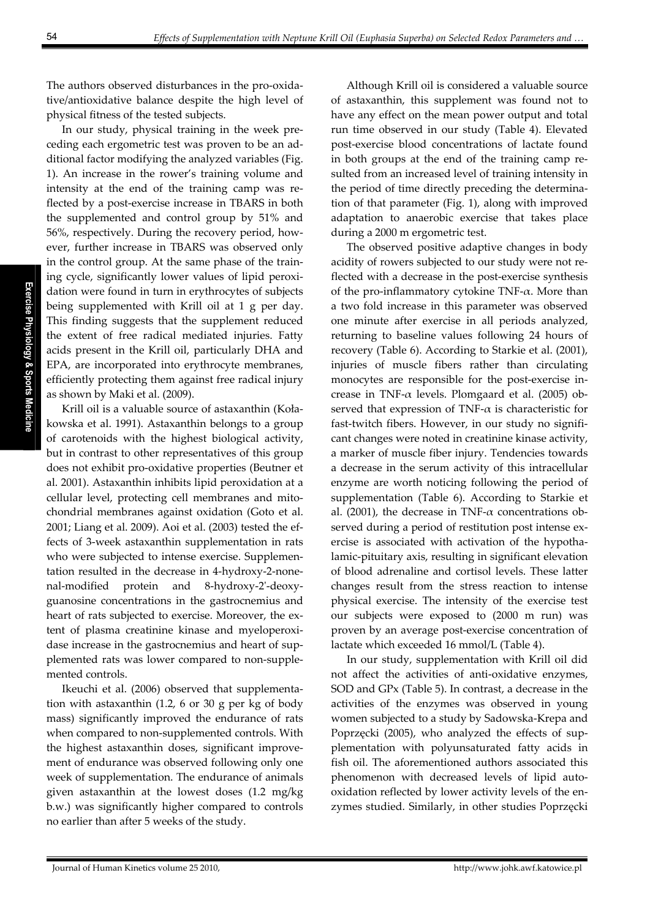The authors observed disturbances in the pro‐oxida‐ tive/antioxidative balance despite the high level of physical fitness of the tested subjects.

In our study, physical training in the week pre‐ ceding each ergometric test was proven to be an ad‐ ditional factor modifying the analyzed variables (Fig. 1). An increase in the rower's training volume and intensity at the end of the training camp was re‐ flected by a post‐exercise increase in TBARS in both the supplemented and control group by 51% and 56%, respectively. During the recovery period, how‐ ever, further increase in TBARS was observed only in the control group. At the same phase of the train‐ ing cycle, significantly lower values of lipid peroxidation were found in turn in erythrocytes of subjects being supplemented with Krill oil at 1 g per day. This finding suggests that the supplement reduced the extent of free radical mediated injuries. Fatty acids present in the Krill oil, particularly DHA and EPA, are incorporated into erythrocyte membranes, efficiently protecting them against free radical injury as shown by Maki et al. (2009).

Krill oil is a valuable source of astaxanthin (Kołakowska et al. 1991). Astaxanthin belongs to a group of carotenoids with the highest biological activity, but in contrast to other representatives of this group does not exhibit pro‐oxidative properties (Beutner et al. 2001). Astaxanthin inhibits lipid peroxidation at a cellular level, protecting cell membranes and mitochondrial membranes against oxidation (Goto et al. 2001; Liang et al. 2009). Aoi et al. (2003) tested the ef‐ fects of 3‐week astaxanthin supplementation in rats who were subjected to intense exercise. Supplementation resulted in the decrease in 4‐hydroxy‐2‐none‐ nal‐modified protein and 8‐hydroxy‐2ʹ‐deoxy‐ guanosine concentrations in the gastrocnemius and heart of rats subjected to exercise. Moreover, the extent of plasma creatinine kinase and myeloperoxidase increase in the gastrocnemius and heart of supplemented rats was lower compared to non‐supple‐ mented controls.

Ikeuchi et al. (2006) observed that supplementa‐ tion with astaxanthin (1.2, 6 or 30 g per kg of body mass) significantly improved the endurance of rats when compared to non‐supplemented controls. With the highest astaxanthin doses, significant improvement of endurance was observed following only one week of supplementation. The endurance of animals given astaxanthin at the lowest doses (1.2 mg/kg b.w.) was significantly higher compared to controls no earlier than after 5 weeks of the study.

Although Krill oil is considered a valuable source of astaxanthin, this supplement was found not to have any effect on the mean power output and total run time observed in our study (Table 4). Elevated post‐exercise blood concentrations of lactate found in both groups at the end of the training camp re‐ sulted from an increased level of training intensity in the period of time directly preceding the determination of that parameter (Fig. 1), along with improved adaptation to anaerobic exercise that takes place during a 2000 m ergometric test.

The observed positive adaptive changes in body acidity of rowers subjected to our study were not re‐ flected with a decrease in the post-exercise synthesis of the pro-inflammatory cytokine TNF- $\alpha$ . More than a two fold increase in this parameter was observed one minute after exercise in all periods analyzed, returning to baseline values following 24 hours of recovery (Table 6). According to Starkie et al. (2001), injuries of muscle fibers rather than circulating monocytes are responsible for the post-exercise increase in TNF- $\alpha$  levels. Plomgaard et al. (2005) observed that expression of TNF- $\alpha$  is characteristic for fast-twitch fibers. However, in our study no significant changes were noted in creatinine kinase activity, a marker of muscle fiber injury. Tendencies towards a decrease in the serum activity of this intracellular enzyme are worth noticing following the period of supplementation (Table 6). According to Starkie et al. (2001), the decrease in TNF- $\alpha$  concentrations observed during a period of restitution post intense exercise is associated with activation of the hypothalamic‐pituitary axis, resulting in significant elevation of blood adrenaline and cortisol levels. These latter changes result from the stress reaction to intense physical exercise. The intensity of the exercise test our subjects were exposed to (2000 m run) was proven by an average post‐exercise concentration of lactate which exceeded 16 mmol/L (Table 4).

In our study, supplementation with Krill oil did not affect the activities of anti‐oxidative enzymes, SOD and GPx (Table 5). In contrast, a decrease in the activities of the enzymes was observed in young women subjected to a study by Sadowska‐Krepa and Poprzęcki (2005), who analyzed the effects of sup‐ plementation with polyunsaturated fatty acids in fish oil. The aforementioned authors associated this phenomenon with decreased levels of lipid autooxidation reflected by lower activity levels of the en‐ zymes studied. Similarly, in other studies Poprzęcki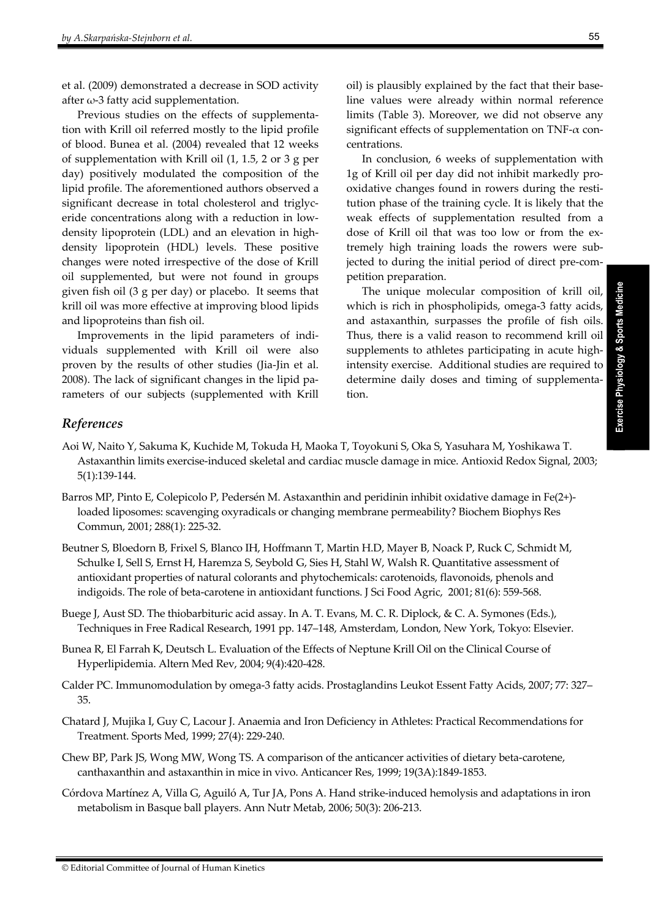et al. (2009) demonstrated a decrease in SOD activity after  $\omega$ -3 fatty acid supplementation.

Previous studies on the effects of supplementation with Krill oil referred mostly to the lipid profile of blood. Bunea et al. (2004) revealed that 12 weeks of supplementation with Krill oil (1, 1.5, 2 or 3 g per day) positively modulated the composition of the lipid profile. The aforementioned authors observed a significant decrease in total cholesterol and triglyceride concentrations along with a reduction in low‐ density lipoprotein (LDL) and an elevation in high‐ density lipoprotein (HDL) levels. These positive changes were noted irrespective of the dose of Krill oil supplemented, but were not found in groups given fish oil (3 g per day) or placebo. It seems that krill oil was more effective at improving blood lipids and lipoproteins than fish oil.

Improvements in the lipid parameters of indi‐ viduals supplemented with Krill oil were also proven by the results of other studies (Jia‐Jin et al. 2008). The lack of significant changes in the lipid pa‐ rameters of our subjects (supplemented with Krill

oil) is plausibly explained by the fact that their base‐ line values were already within normal reference limits (Table 3). Moreover, we did not observe any significant effects of supplementation on TNF‐α con‐ centrations.

In conclusion, 6 weeks of supplementation with 1g of Krill oil per day did not inhibit markedly pro‐ oxidative changes found in rowers during the resti‐ tution phase of the training cycle. It is likely that the weak effects of supplementation resulted from a dose of Krill oil that was too low or from the ex‐ tremely high training loads the rowers were subjected to during the initial period of direct pre‐com‐ petition preparation.

The unique molecular composition of krill oil, which is rich in phospholipids, omega-3 fatty acids, and astaxanthin, surpasses the profile of fish oils. Thus, there is a valid reason to recommend krill oil supplements to athletes participating in acute highintensity exercise. Additional studies are required to determine daily doses and timing of supplementation.

# *References*

- Aoi W, Naito Y, Sakuma K, Kuchide M, Tokuda H, Maoka T, Toyokuni S, Oka S, Yasuhara M, Yoshikawa T. Astaxanthin limits exercise‐induced skeletal and cardiac muscle damage in mice. Antioxid Redox Signal, 2003; 5(1):139‐144.
- Barros MP, Pinto E, Colepicolo P, Pedersén M. Astaxanthin and peridinin inhibit oxidative damage in Fe(2+)loaded liposomes: scavenging oxyradicals or changing membrane permeability? Biochem Biophys Res Commun, 2001; 288(1): 225‐32.
- Beutner S, Bloedorn B, Frixel S, Blanco IH, Hoffmann T, Martin H.D, Mayer B, Noack P, Ruck C, Schmidt M, Schulke I, Sell S, Ernst H, Haremza S, Seybold G, Sies H, Stahl W, Walsh R. Quantitative assessment of antioxidant properties of natural colorants and phytochemicals: carotenoids, flavonoids, phenols and indigoids. The role of beta‐carotene in antioxidant functions. J Sci Food Agric, 2001; 81(6): 559‐568.
- Buege J, Aust SD. The thiobarbituric acid assay. In A. T. Evans, M. C. R. Diplock, & C. A. Symones (Eds.), Techniques in Free Radical Research, 1991 pp. 147–148, Amsterdam, London, New York, Tokyo: Elsevier.
- Bunea R, El Farrah K, Deutsch L. Evaluation of the Effects of Neptune Krill Oil on the Clinical Course of Hyperlipidemia. Altern Med Rev, 2004; 9(4):420‐428.
- Calder PC. Immunomodulation by omega‐3 fatty acids. Prostaglandins Leukot Essent Fatty Acids, 2007; 77: 327– 35.
- Chatard J, Mujika I, Guy C, Lacour J. Anaemia and Iron Deficiency in Athletes: Practical Recommendations for Treatment. Sports Med, 1999; 27(4): 229‐240.
- Chew BP, Park JS, Wong MW, Wong TS. A comparison of the anticancer activities of dietary beta‐carotene, canthaxanthin and astaxanthin in mice in vivo. Anticancer Res, 1999; 19(3A):1849‐1853.
- Córdova Martínez A, Villa G, Aguiló A, Tur JA, Pons A. Hand strike‐induced hemolysis and adaptations in iron metabolism in Basque ball players. Ann Nutr Metab, 2006; 50(3): 206‐213.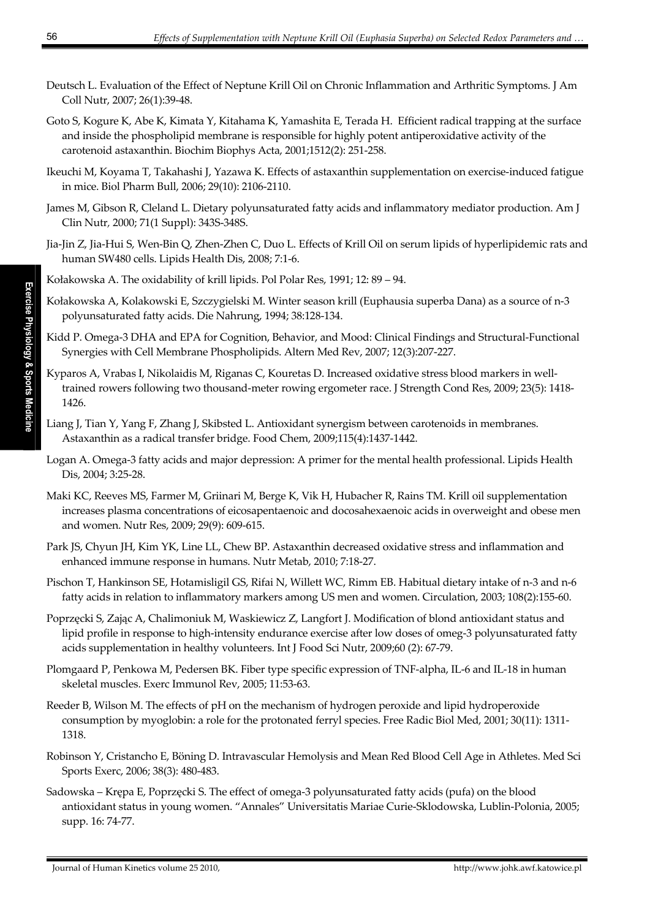- Deutsch L. Evaluation of the Effect of Neptune Krill Oil on Chronic Inflammation and Arthritic Symptoms. J Am Coll Nutr, 2007; 26(1):39‐48.
- Goto S, Kogure K, Abe K, Kimata Y, Kitahama K, Yamashita E, Terada H. Efficient radical trapping at the surface and inside the phospholipid membrane is responsible for highly potent antiperoxidative activity of the carotenoid astaxanthin. Biochim Biophys Acta, 2001;1512(2): 251‐258.
- Ikeuchi M, Koyama T, Takahashi J, Yazawa K. Effects of astaxanthin supplementation on exercise‐induced fatigue in mice. Biol Pharm Bull, 2006; 29(10): 2106‐2110.
- James M, Gibson R, Cleland L. Dietary polyunsaturated fatty acids and inflammatory mediator production. Am J Clin Nutr*,* 2000; 71(1 Suppl): 343S‐348S.
- Jia‐Jin Z, Jia‐Hui S, Wen‐Bin Q, Zhen‐Zhen C, Duo L. Effects of Krill Oil on serum lipids of hyperlipidemic rats and human SW480 cells. Lipids Health Dis, 2008; 7:1‐6.
- Kołakowska A. The oxidability of krill lipids. Pol Polar Res, 1991; 12: 89 94.
- Kołakowska A, Kolakowski E, Szczygielski M. Winter season krill (Euphausia superba Dana) as a source of n‐3 polyunsaturated fatty acids. Die Nahrung, 1994; 38:128‐134.
- Kidd P. Omega‐3 DHA and EPA for Cognition, Behavior, and Mood: Clinical Findings and Structural‐Functional Synergies with Cell Membrane Phospholipids. Altern Med Rev, 2007; 12(3):207‐227.
- Kyparos A, Vrabas I, Nikolaidis M, Riganas C, Kouretas D. Increased oxidative stress blood markers in well‐ trained rowers following two thousand-meter rowing ergometer race. J Strength Cond Res, 2009; 23(5): 1418-1426.
- Liang J, Tian Y, Yang F, Zhang J, Skibsted L. Antioxidant synergism between carotenoids in membranes. Astaxanthin as a radical transfer bridge. Food Chem, 2009;115(4):1437‐1442.
- Logan A. Omega‐3 fatty acids and major depression: A primer for the mental health professional. Lipids Health Dis, 2004; 3:25‐28.
- Maki KC, Reeves MS, Farmer M, Griinari M, Berge K, Vik H, Hubacher R, Rains TM. Krill oil supplementation increases plasma concentrations of eicosapentaenoic and docosahexaenoic acids in overweight and obese men and women. Nutr Res, 2009; 29(9): 609‐615.
- Park JS, Chyun JH, Kim YK, Line LL, Chew BP. Astaxanthin decreased oxidative stress and inflammation and enhanced immune response in humans. Nutr Metab, 2010; 7:18‐27.
- Pischon T, Hankinson SE, Hotamisligil GS, Rifai N, Willett WC, Rimm EB. Habitual dietary intake of n‐3 and n‐6 fatty acids in relation to inflammatory markers among US men and women. Circulation, 2003; 108(2):155‐60.
- Poprzęcki S, Zając A, Chalimoniuk M, Waskiewicz Z, Langfort J. Modification of blond antioxidant status and lipid profile in response to high‐intensity endurance exercise after low doses of omeg‐3 polyunsaturated fatty acids supplementation in healthy volunteers. Int J Food Sci Nutr, 2009;60 (2): 67‐79.
- Plomgaard P, Penkowa M, Pedersen BK. Fiber type specific expression of TNF‐alpha, IL‐6 and IL‐18 in human skeletal muscles. Exerc Immunol Rev, 2005; 11:53‐63.
- Reeder B, Wilson M. The effects of pH on the mechanism of hydrogen peroxide and lipid hydroperoxide consumption by myoglobin: a role for the protonated ferryl species. Free Radic Biol Med, 2001; 30(11): 1311‐ 1318.
- Robinson Y, Cristancho E, Böning D. Intravascular Hemolysis and Mean Red Blood Cell Age in Athletes. Med Sci Sports Exerc, 2006; 38(3): 480‐483.
- Sadowska Krępa E, Poprzęcki S. The effect of omega‐3 polyunsaturated fatty acids (pufa) on the blood antioxidant status in young women. "Annales" Universitatis Mariae Curie‐Sklodowska, Lublin‐Polonia, 2005; supp. 16: 74‐77.